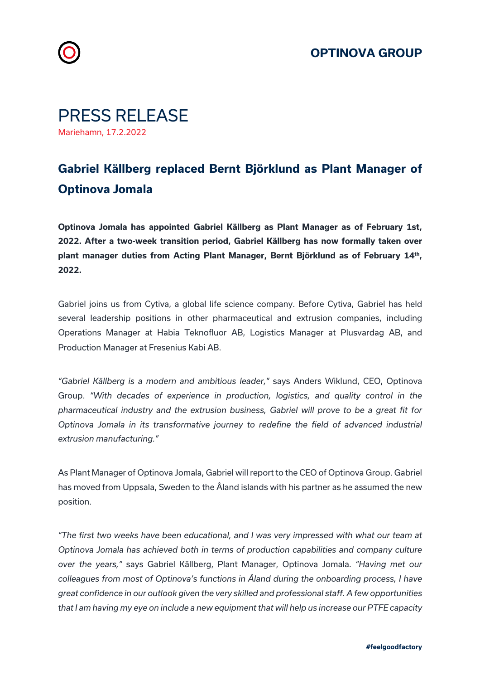





## **Gabriel Källberg replaced Bernt Björklund as Plant Manager of Optinova Jomala**

**Optinova Jomala has appointed Gabriel Källberg as Plant Manager as of February 1st, 2022. After a two-week transition period, Gabriel Källberg has now formally taken over plant manager duties from Acting Plant Manager, Bernt Björklund as of February 14th, 2022.** 

Gabriel joins us from Cytiva, a global life science company. Before Cytiva, Gabriel has held several leadership positions in other pharmaceutical and extrusion companies, including Operations Manager at Habia Teknofluor AB, Logistics Manager at Plusvardag AB, and Production Manager at Fresenius Kabi AB.

*"Gabriel Källberg is a modern and ambitious leader,"* says Anders Wiklund, CEO, Optinova Group. *"With decades of experience in production, logistics, and quality control in the pharmaceutical industry and the extrusion business, Gabriel will prove to be a great fit for Optinova Jomala in its transformative journey to redefine the field of advanced industrial extrusion manufacturing."*

As Plant Manager of Optinova Jomala, Gabriel will report to the CEO of Optinova Group. Gabriel has moved from Uppsala, Sweden to the Åland islands with his partner as he assumed the new position.

*"The first two weeks have been educational, and I was very impressed with what our team at Optinova Jomala has achieved both in terms of production capabilities and company culture over the years,"* says Gabriel Källberg, Plant Manager, Optinova Jomala. *"Having met our colleagues from most of Optinova's functions in Åland during the onboarding process, I have great confidence in our outlook given the very skilled and professional staff. A few opportunities that I am having my eye on include a new equipment that will help us increase our PTFE capacity*